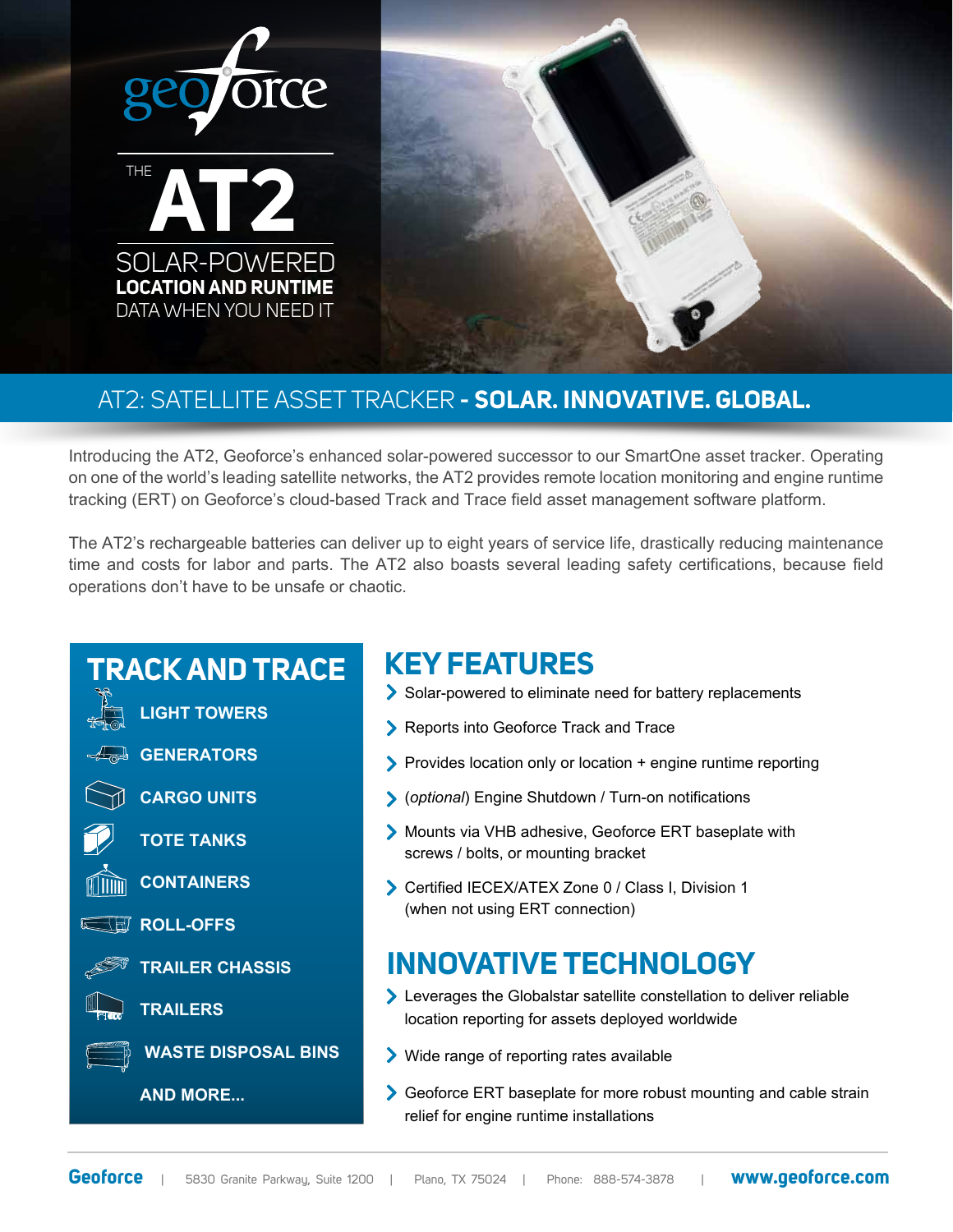



## AT2: SATELLITE ASSET TRACKER **- SOLAR. INNOVATIVE. GLOBAL.**

Introducing the AT2, Geoforce's enhanced solar-powered successor to our SmartOne asset tracker. Operating on one of the world's leading satellite networks, the AT2 provides remote location monitoring and engine runtime tracking (ERT) on Geoforce's cloud-based Track and Trace field asset management software platform.

The AT2's rechargeable batteries can deliver up to eight years of service life, drastically reducing maintenance time and costs for labor and parts. The AT2 also boasts several leading safety certifications, because field operations don't have to be unsafe or chaotic.